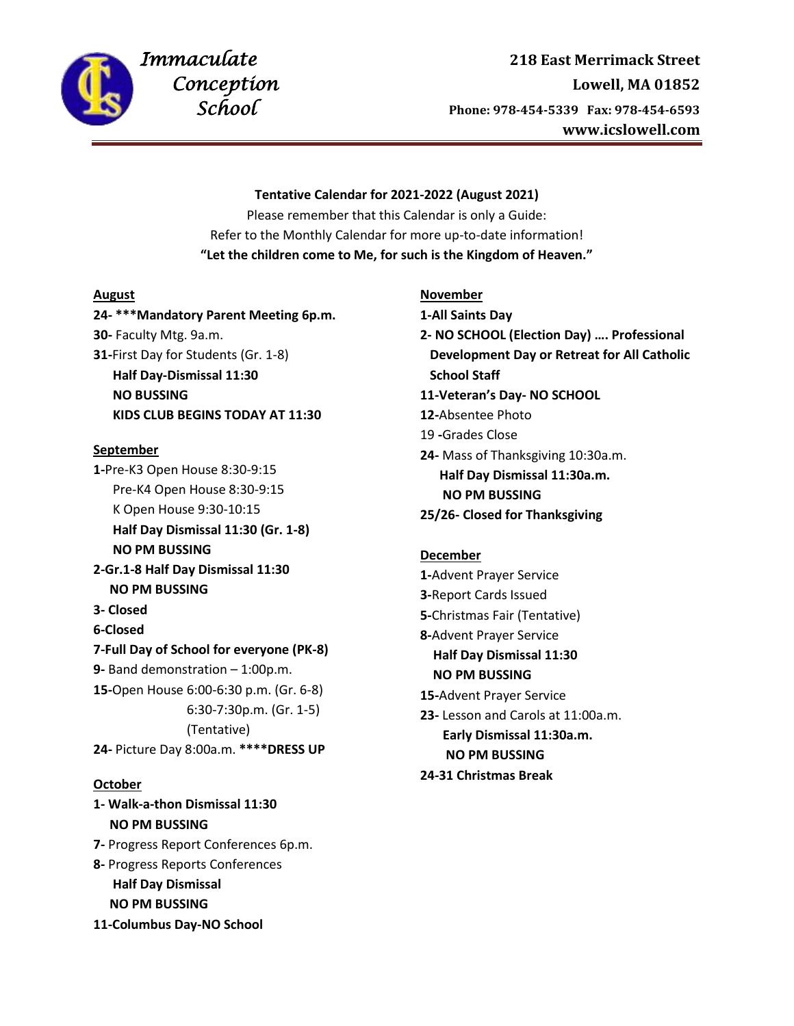

# *Immaculate* **218 East Merrimack Street Conception**<br> **Lowell, MA 01852**<br> **Conception**<br> **Conception**<br> **Lowell, MA 01852**<br> **Phone: 978-454-5339**<br> **Fax: 978-454-6593**  *School* **Phone: 978-454-5339 Fax: 978-454-6593 www.icslowell.com**

## **Tentative Calendar for 2021-2022 (August 2021)**

Please remember that this Calendar is only a Guide: Refer to the Monthly Calendar for more up-to-date information! **"Let the children come to Me, for such is the Kingdom of Heaven."**

# **August**

**24- \*\*\*Mandatory Parent Meeting 6p.m. 30-** Faculty Mtg. 9a.m. **31-**First Day for Students (Gr. 1-8) **Half Day-Dismissal 11:30 NO BUSSING KIDS CLUB BEGINS TODAY AT 11:30**

## **September**

**1-**Pre-K3 Open House 8:30-9:15 Pre-K4 Open House 8:30-9:15 K Open House 9:30-10:15 **Half Day Dismissal 11:30 (Gr. 1-8) NO PM BUSSING**

**2-Gr.1-8 Half Day Dismissal 11:30 NO PM BUSSING**

- **3- Closed**
- **6-Closed**

## **7-Full Day of School for everyone (PK-8)**

**9-** Band demonstration – 1:00p.m. **15-**Open House 6:00-6:30 p.m. (Gr. 6-8) 6:30-7:30p.m. (Gr. 1-5) (Tentative) **24-** Picture Day 8:00a.m. **\*\*\*\*DRESS UP**

# **October**

- **1- Walk-a-thon Dismissal 11:30 NO PM BUSSING**
- **7-** Progress Report Conferences 6p.m.
- **8-** Progress Reports Conferences **Half Day Dismissal NO PM BUSSING**
- **11-Columbus Day-NO School**

**November 1-All Saints Day 2- NO SCHOOL (Election Day) …. Professional Development Day or Retreat for All Catholic School Staff 11-Veteran's Day- NO SCHOOL**

- **12-**Absentee Photo
- 19 **-**Grades Close
- **24-** Mass of Thanksgiving 10:30a.m. **Half Day Dismissal 11:30a.m. NO PM BUSSING**
- **25/26- Closed for Thanksgiving**

## **December**

**1-**Advent Prayer Service **3-**Report Cards Issued **5-**Christmas Fair (Tentative) **8-**Advent Prayer Service **Half Day Dismissal 11:30 NO PM BUSSING 15-**Advent Prayer Service **23-** Lesson and Carols at 11:00a.m.  **Early Dismissal 11:30a.m. NO PM BUSSING**

**24-31 Christmas Break**